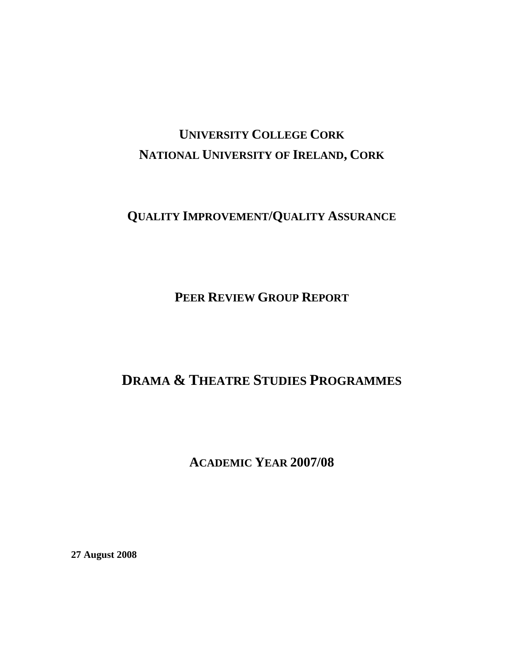# **UNIVERSITY COLLEGE CORK NATIONAL UNIVERSITY OF IRELAND, CORK**

## **QUALITY IMPROVEMENT/QUALITY ASSURANCE**

**PEER REVIEW GROUP REPORT**

## **DRAMA & THEATRE STUDIES PROGRAMMES**

**ACADEMIC YEAR 2007/08** 

**27 August 2008**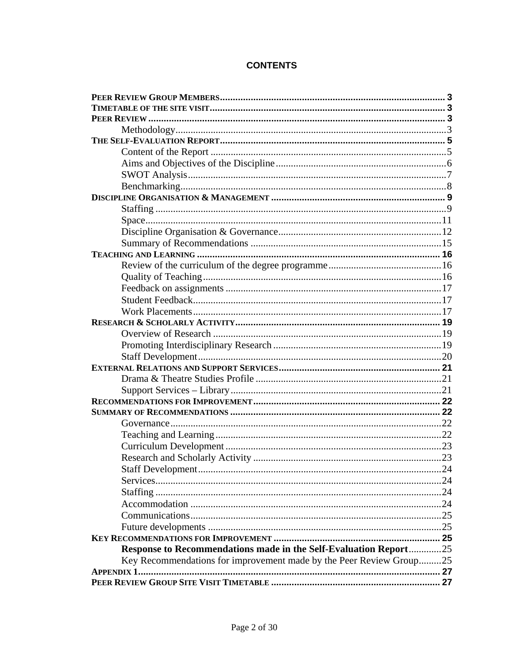## **CONTENTS**

| Response to Recommendations made in the Self-Evaluation Report25    |  |
|---------------------------------------------------------------------|--|
| Key Recommendations for improvement made by the Peer Review Group25 |  |
|                                                                     |  |
|                                                                     |  |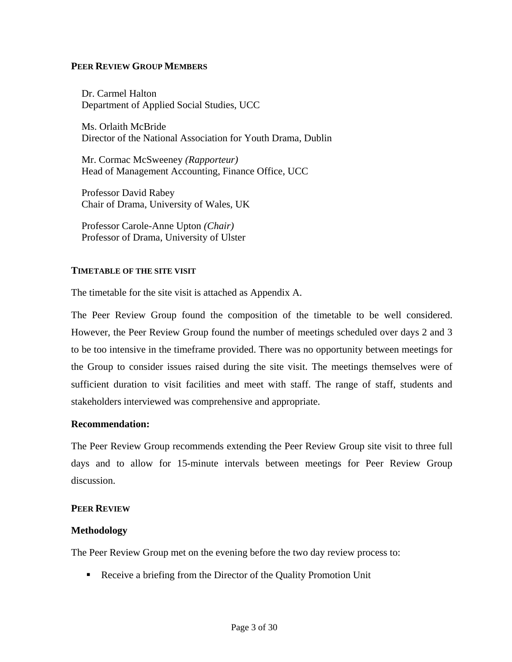#### <span id="page-2-0"></span>**PEER REVIEW GROUP MEMBERS**

Dr. Carmel Halton Department of Applied Social Studies, UCC

Ms. Orlaith McBride Director of the National Association for Youth Drama, Dublin

Mr. Cormac McSweeney *(Rapporteur)* Head of Management Accounting, Finance Office, UCC

Professor David Rabey Chair of Drama, University of Wales, UK

Professor Carole-Anne Upton *(Chair)*  Professor of Drama, University of Ulster

#### **TIMETABLE OF THE SITE VISIT**

The timetable for the site visit is attached as Appendix A.

The Peer Review Group found the composition of the timetable to be well considered. However, the Peer Review Group found the number of meetings scheduled over days 2 and 3 to be too intensive in the timeframe provided. There was no opportunity between meetings for the Group to consider issues raised during the site visit. The meetings themselves were of sufficient duration to visit facilities and meet with staff. The range of staff, students and stakeholders interviewed was comprehensive and appropriate.

#### **Recommendation:**

The Peer Review Group recommends extending the Peer Review Group site visit to three full days and to allow for 15-minute intervals between meetings for Peer Review Group discussion.

#### **PEER REVIEW**

#### **Methodology**

The Peer Review Group met on the evening before the two day review process to:

Receive a briefing from the Director of the Quality Promotion Unit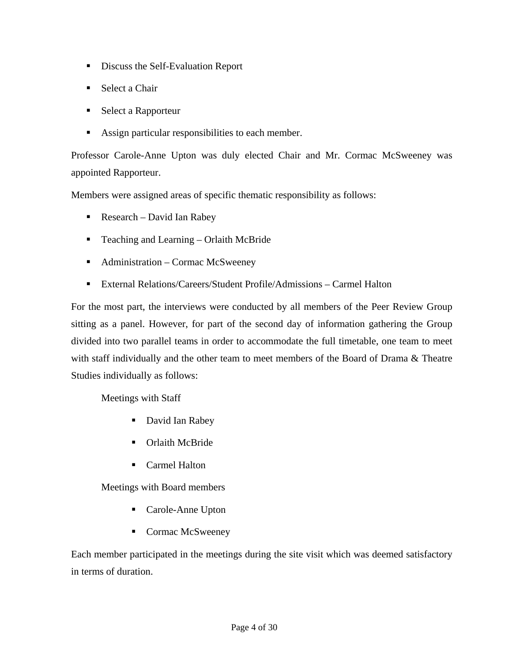- **Discuss the Self-Evaluation Report**
- Select a Chair
- Select a Rapporteur
- Assign particular responsibilities to each member.

Professor Carole-Anne Upton was duly elected Chair and Mr. Cormac McSweeney was appointed Rapporteur.

Members were assigned areas of specific thematic responsibility as follows:

- Research David Ian Rabey
- Teaching and Learning Orlaith McBride
- Administration Cormac McSweeney
- External Relations/Careers/Student Profile/Admissions Carmel Halton

For the most part, the interviews were conducted by all members of the Peer Review Group sitting as a panel. However, for part of the second day of information gathering the Group divided into two parallel teams in order to accommodate the full timetable, one team to meet with staff individually and the other team to meet members of the Board of Drama & Theatre Studies individually as follows:

Meetings with Staff

- David Ian Rabey
- **•** Orlaith McBride
- Carmel Halton

Meetings with Board members

- Carole-Anne Upton
- Cormac McSweeney

Each member participated in the meetings during the site visit which was deemed satisfactory in terms of duration.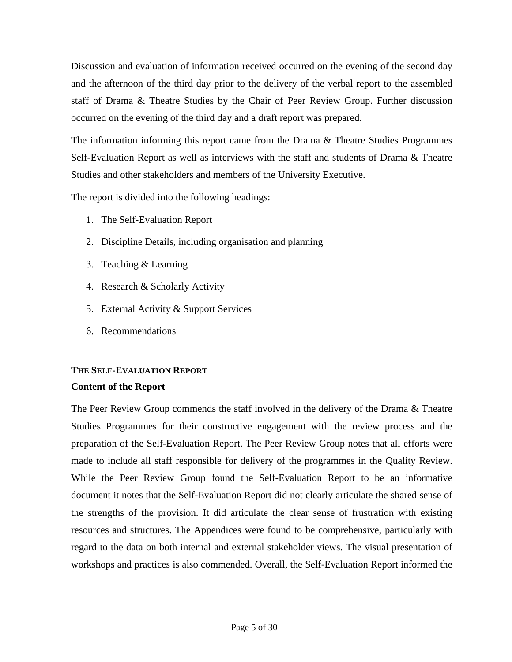<span id="page-4-0"></span>Discussion and evaluation of information received occurred on the evening of the second day and the afternoon of the third day prior to the delivery of the verbal report to the assembled staff of Drama & Theatre Studies by the Chair of Peer Review Group. Further discussion occurred on the evening of the third day and a draft report was prepared.

The information informing this report came from the Drama & Theatre Studies Programmes Self-Evaluation Report as well as interviews with the staff and students of Drama & Theatre Studies and other stakeholders and members of the University Executive.

The report is divided into the following headings:

- 1. The Self-Evaluation Report
- 2. Discipline Details, including organisation and planning
- 3. Teaching & Learning
- 4. Research & Scholarly Activity
- 5. External Activity & Support Services
- 6. Recommendations

## **THE SELF-EVALUATION REPORT Content of the Report**

The Peer Review Group commends the staff involved in the delivery of the Drama & Theatre Studies Programmes for their constructive engagement with the review process and the preparation of the Self-Evaluation Report. The Peer Review Group notes that all efforts were made to include all staff responsible for delivery of the programmes in the Quality Review. While the Peer Review Group found the Self-Evaluation Report to be an informative document it notes that the Self-Evaluation Report did not clearly articulate the shared sense of the strengths of the provision. It did articulate the clear sense of frustration with existing resources and structures. The Appendices were found to be comprehensive, particularly with regard to the data on both internal and external stakeholder views. The visual presentation of workshops and practices is also commended. Overall, the Self-Evaluation Report informed the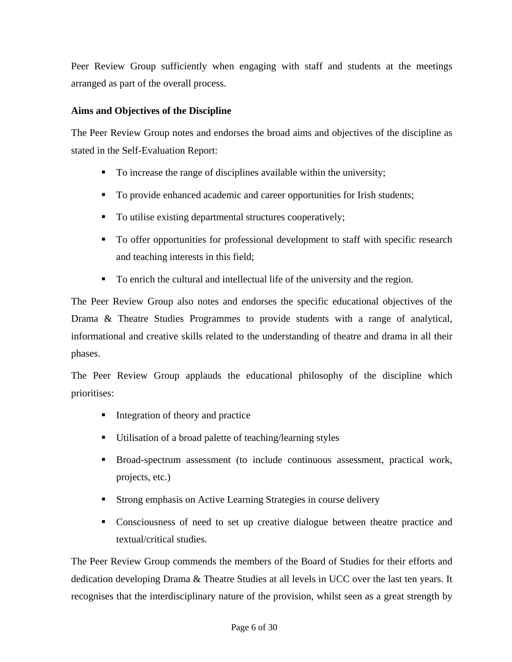<span id="page-5-0"></span>Peer Review Group sufficiently when engaging with staff and students at the meetings arranged as part of the overall process.

## **Aims and Objectives of the Discipline**

The Peer Review Group notes and endorses the broad aims and objectives of the discipline as stated in the Self-Evaluation Report:

- To increase the range of disciplines available within the university;
- To provide enhanced academic and career opportunities for Irish students;
- To utilise existing departmental structures cooperatively;
- To offer opportunities for professional development to staff with specific research and teaching interests in this field;
- To enrich the cultural and intellectual life of the university and the region.

The Peer Review Group also notes and endorses the specific educational objectives of the Drama & Theatre Studies Programmes to provide students with a range of analytical, informational and creative skills related to the understanding of theatre and drama in all their phases.

The Peer Review Group applauds the educational philosophy of the discipline which prioritises:

- Integration of theory and practice
- Utilisation of a broad palette of teaching/learning styles
- Broad-spectrum assessment (to include continuous assessment, practical work, projects, etc.)
- Strong emphasis on Active Learning Strategies in course delivery
- Consciousness of need to set up creative dialogue between theatre practice and textual/critical studies.

The Peer Review Group commends the members of the Board of Studies for their efforts and dedication developing Drama & Theatre Studies at all levels in UCC over the last ten years. It recognises that the interdisciplinary nature of the provision, whilst seen as a great strength by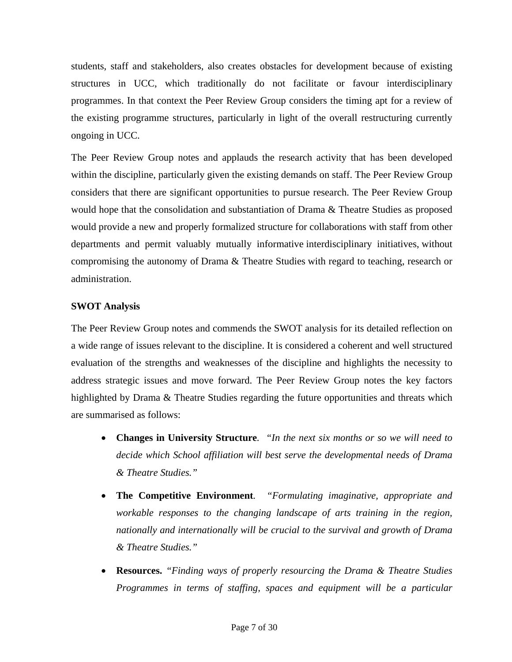<span id="page-6-0"></span>students, staff and stakeholders, also creates obstacles for development because of existing structures in UCC, which traditionally do not facilitate or favour interdisciplinary programmes. In that context the Peer Review Group considers the timing apt for a review of the existing programme structures, particularly in light of the overall restructuring currently ongoing in UCC.

The Peer Review Group notes and applauds the research activity that has been developed within the discipline, particularly given the existing demands on staff. The Peer Review Group considers that there are significant opportunities to pursue research. The Peer Review Group would hope that the consolidation and substantiation of Drama & Theatre Studies as proposed would provide a new and properly formalized structure for collaborations with staff from other departments and permit valuably mutually informative interdisciplinary initiatives, without compromising the autonomy of Drama & Theatre Studies with regard to teaching, research or administration.

## **SWOT Analysis**

The Peer Review Group notes and commends the SWOT analysis for its detailed reflection on a wide range of issues relevant to the discipline. It is considered a coherent and well structured evaluation of the strengths and weaknesses of the discipline and highlights the necessity to address strategic issues and move forward. The Peer Review Group notes the key factors highlighted by Drama & Theatre Studies regarding the future opportunities and threats which are summarised as follows:

- **Changes in University Structure***. "In the next six months or so we will need to decide which School affiliation will best serve the developmental needs of Drama & Theatre Studies."*
- **The Competitive Environment***. "Formulating imaginative, appropriate and workable responses to the changing landscape of arts training in the region, nationally and internationally will be crucial to the survival and growth of Drama & Theatre Studies."*
- **Resources.** *"Finding ways of properly resourcing the Drama & Theatre Studies Programmes in terms of staffing, spaces and equipment will be a particular*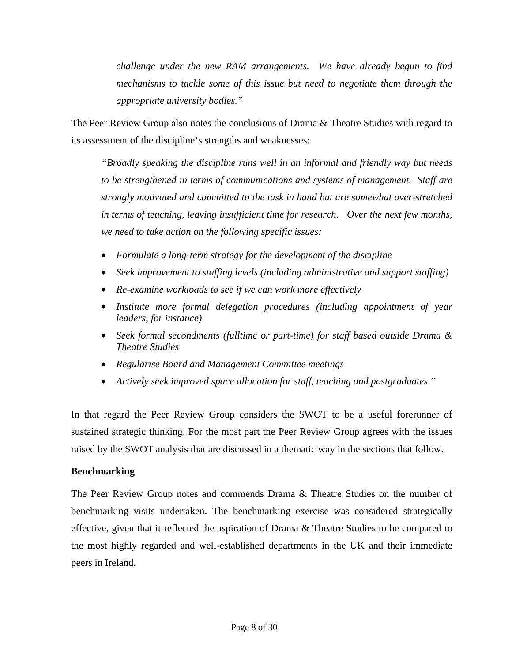<span id="page-7-0"></span>*challenge under the new RAM arrangements. We have already begun to find mechanisms to tackle some of this issue but need to negotiate them through the appropriate university bodies."* 

The Peer Review Group also notes the conclusions of Drama & Theatre Studies with regard to its assessment of the discipline's strengths and weaknesses:

*"Broadly speaking the discipline runs well in an informal and friendly way but needs to be strengthened in terms of communications and systems of management. Staff are strongly motivated and committed to the task in hand but are somewhat over-stretched in terms of teaching, leaving insufficient time for research. Over the next few months, we need to take action on the following specific issues:* 

- *Formulate a long-term strategy for the development of the discipline*
- *Seek improvement to staffing levels (including administrative and support staffing)*
- *Re-examine workloads to see if we can work more effectively*
- *Institute more formal delegation procedures (including appointment of year leaders, for instance)*
- *Seek formal secondments (fulltime or part-time) for staff based outside Drama & Theatre Studies*
- *Regularise Board and Management Committee meetings*
- *Actively seek improved space allocation for staff, teaching and postgraduates."*

In that regard the Peer Review Group considers the SWOT to be a useful forerunner of sustained strategic thinking. For the most part the Peer Review Group agrees with the issues raised by the SWOT analysis that are discussed in a thematic way in the sections that follow.

#### **Benchmarking**

The Peer Review Group notes and commends Drama & Theatre Studies on the number of benchmarking visits undertaken. The benchmarking exercise was considered strategically effective, given that it reflected the aspiration of Drama & Theatre Studies to be compared to the most highly regarded and well-established departments in the UK and their immediate peers in Ireland.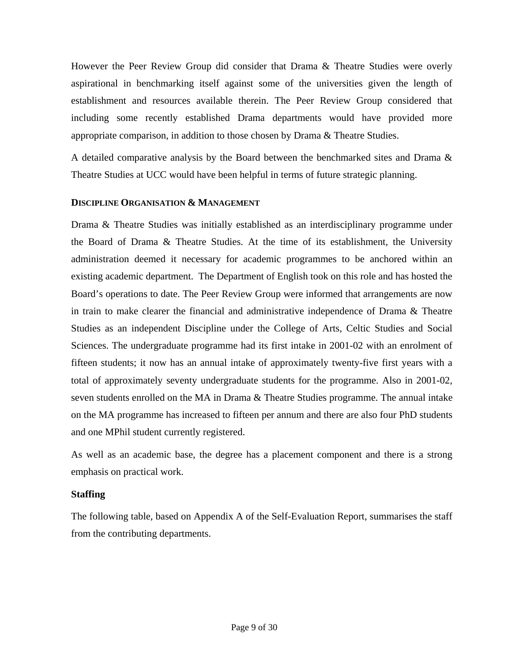<span id="page-8-0"></span>However the Peer Review Group did consider that Drama & Theatre Studies were overly aspirational in benchmarking itself against some of the universities given the length of establishment and resources available therein. The Peer Review Group considered that including some recently established Drama departments would have provided more appropriate comparison, in addition to those chosen by Drama & Theatre Studies.

A detailed comparative analysis by the Board between the benchmarked sites and Drama & Theatre Studies at UCC would have been helpful in terms of future strategic planning.

#### **DISCIPLINE ORGANISATION & MANAGEMENT**

Drama & Theatre Studies was initially established as an interdisciplinary programme under the Board of Drama & Theatre Studies. At the time of its establishment, the University administration deemed it necessary for academic programmes to be anchored within an existing academic department. The Department of English took on this role and has hosted the Board's operations to date. The Peer Review Group were informed that arrangements are now in train to make clearer the financial and administrative independence of Drama & Theatre Studies as an independent Discipline under the College of Arts, Celtic Studies and Social Sciences. The undergraduate programme had its first intake in 2001-02 with an enrolment of fifteen students; it now has an annual intake of approximately twenty-five first years with a total of approximately seventy undergraduate students for the programme. Also in 2001-02, seven students enrolled on the MA in Drama & Theatre Studies programme. The annual intake on the MA programme has increased to fifteen per annum and there are also four PhD students and one MPhil student currently registered.

As well as an academic base, the degree has a placement component and there is a strong emphasis on practical work.

#### **Staffing**

The following table, based on Appendix A of the Self-Evaluation Report, summarises the staff from the contributing departments.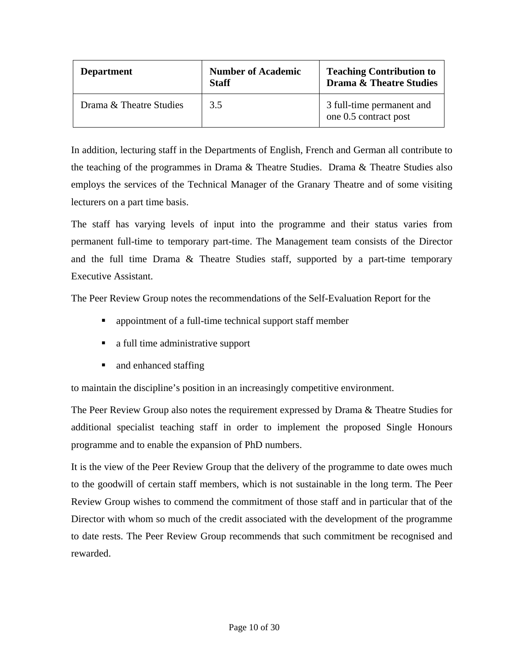| <b>Department</b>       | <b>Number of Academic</b><br><b>Staff</b> | <b>Teaching Contribution to</b><br><b>Drama &amp; Theatre Studies</b> |
|-------------------------|-------------------------------------------|-----------------------------------------------------------------------|
| Drama & Theatre Studies | 3.5                                       | 3 full-time permanent and<br>one 0.5 contract post                    |

In addition, lecturing staff in the Departments of English, French and German all contribute to the teaching of the programmes in Drama & Theatre Studies. Drama & Theatre Studies also employs the services of the Technical Manager of the Granary Theatre and of some visiting lecturers on a part time basis.

The staff has varying levels of input into the programme and their status varies from permanent full-time to temporary part-time. The Management team consists of the Director and the full time Drama & Theatre Studies staff, supported by a part-time temporary Executive Assistant.

The Peer Review Group notes the recommendations of the Self-Evaluation Report for the

- appointment of a full-time technical support staff member
- a full time administrative support
- and enhanced staffing

to maintain the discipline's position in an increasingly competitive environment.

The Peer Review Group also notes the requirement expressed by Drama & Theatre Studies for additional specialist teaching staff in order to implement the proposed Single Honours programme and to enable the expansion of PhD numbers.

It is the view of the Peer Review Group that the delivery of the programme to date owes much to the goodwill of certain staff members, which is not sustainable in the long term. The Peer Review Group wishes to commend the commitment of those staff and in particular that of the Director with whom so much of the credit associated with the development of the programme to date rests. The Peer Review Group recommends that such commitment be recognised and rewarded.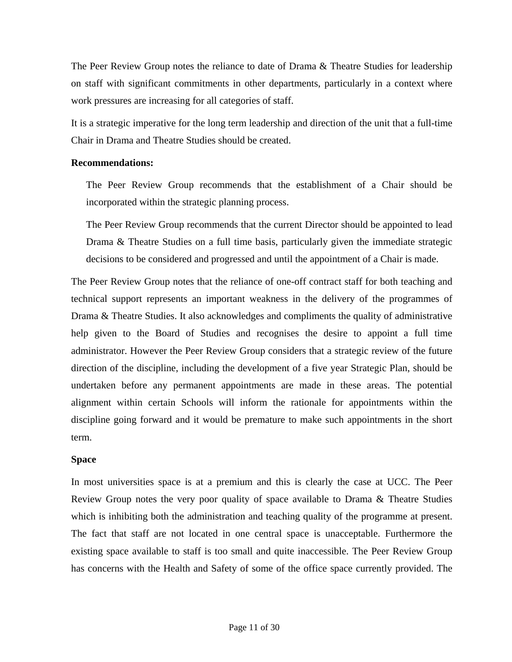<span id="page-10-0"></span>The Peer Review Group notes the reliance to date of Drama & Theatre Studies for leadership on staff with significant commitments in other departments, particularly in a context where work pressures are increasing for all categories of staff.

It is a strategic imperative for the long term leadership and direction of the unit that a full-time Chair in Drama and Theatre Studies should be created.

#### **Recommendations:**

The Peer Review Group recommends that the establishment of a Chair should be incorporated within the strategic planning process.

The Peer Review Group recommends that the current Director should be appointed to lead Drama & Theatre Studies on a full time basis, particularly given the immediate strategic decisions to be considered and progressed and until the appointment of a Chair is made.

The Peer Review Group notes that the reliance of one-off contract staff for both teaching and technical support represents an important weakness in the delivery of the programmes of Drama & Theatre Studies. It also acknowledges and compliments the quality of administrative help given to the Board of Studies and recognises the desire to appoint a full time administrator. However the Peer Review Group considers that a strategic review of the future direction of the discipline, including the development of a five year Strategic Plan, should be undertaken before any permanent appointments are made in these areas. The potential alignment within certain Schools will inform the rationale for appointments within the discipline going forward and it would be premature to make such appointments in the short term.

#### **Space**

In most universities space is at a premium and this is clearly the case at UCC. The Peer Review Group notes the very poor quality of space available to Drama & Theatre Studies which is inhibiting both the administration and teaching quality of the programme at present. The fact that staff are not located in one central space is unacceptable. Furthermore the existing space available to staff is too small and quite inaccessible. The Peer Review Group has concerns with the Health and Safety of some of the office space currently provided. The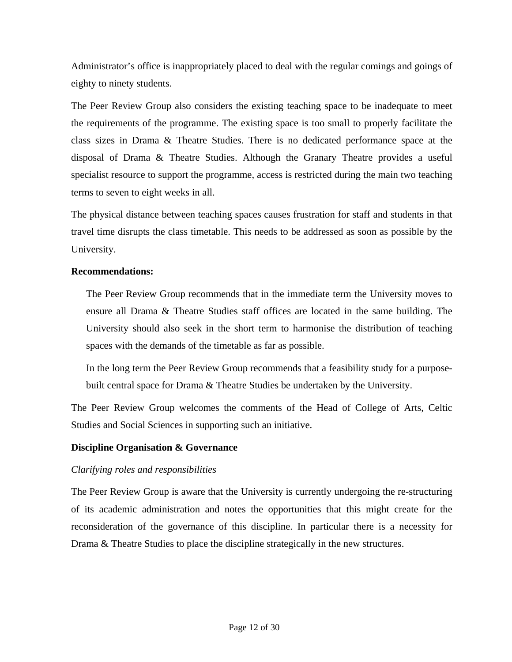<span id="page-11-0"></span>Administrator's office is inappropriately placed to deal with the regular comings and goings of eighty to ninety students.

The Peer Review Group also considers the existing teaching space to be inadequate to meet the requirements of the programme. The existing space is too small to properly facilitate the class sizes in Drama & Theatre Studies. There is no dedicated performance space at the disposal of Drama & Theatre Studies. Although the Granary Theatre provides a useful specialist resource to support the programme, access is restricted during the main two teaching terms to seven to eight weeks in all.

The physical distance between teaching spaces causes frustration for staff and students in that travel time disrupts the class timetable. This needs to be addressed as soon as possible by the University.

#### **Recommendations:**

The Peer Review Group recommends that in the immediate term the University moves to ensure all Drama & Theatre Studies staff offices are located in the same building. The University should also seek in the short term to harmonise the distribution of teaching spaces with the demands of the timetable as far as possible.

In the long term the Peer Review Group recommends that a feasibility study for a purposebuilt central space for Drama & Theatre Studies be undertaken by the University.

The Peer Review Group welcomes the comments of the Head of College of Arts, Celtic Studies and Social Sciences in supporting such an initiative.

#### **Discipline Organisation & Governance**

#### *Clarifying roles and responsibilities*

The Peer Review Group is aware that the University is currently undergoing the re-structuring of its academic administration and notes the opportunities that this might create for the reconsideration of the governance of this discipline. In particular there is a necessity for Drama & Theatre Studies to place the discipline strategically in the new structures.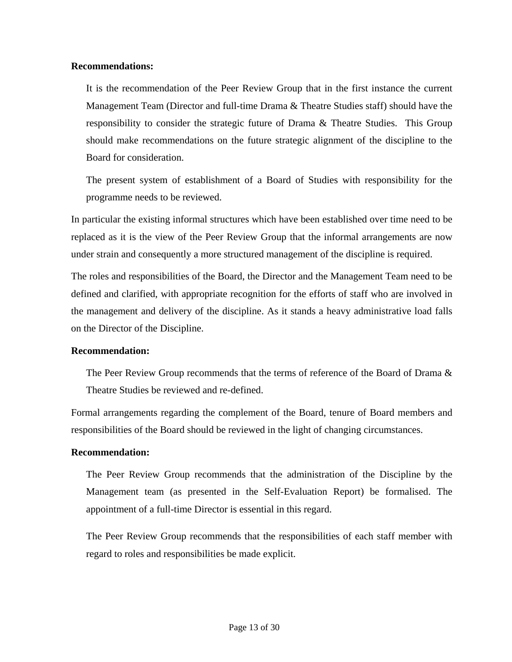#### **Recommendations:**

It is the recommendation of the Peer Review Group that in the first instance the current Management Team (Director and full-time Drama & Theatre Studies staff) should have the responsibility to consider the strategic future of Drama & Theatre Studies. This Group should make recommendations on the future strategic alignment of the discipline to the Board for consideration.

The present system of establishment of a Board of Studies with responsibility for the programme needs to be reviewed.

In particular the existing informal structures which have been established over time need to be replaced as it is the view of the Peer Review Group that the informal arrangements are now under strain and consequently a more structured management of the discipline is required.

The roles and responsibilities of the Board, the Director and the Management Team need to be defined and clarified, with appropriate recognition for the efforts of staff who are involved in the management and delivery of the discipline. As it stands a heavy administrative load falls on the Director of the Discipline.

#### **Recommendation:**

The Peer Review Group recommends that the terms of reference of the Board of Drama & Theatre Studies be reviewed and re-defined.

Formal arrangements regarding the complement of the Board, tenure of Board members and responsibilities of the Board should be reviewed in the light of changing circumstances.

#### **Recommendation:**

The Peer Review Group recommends that the administration of the Discipline by the Management team (as presented in the Self-Evaluation Report) be formalised. The appointment of a full-time Director is essential in this regard.

The Peer Review Group recommends that the responsibilities of each staff member with regard to roles and responsibilities be made explicit.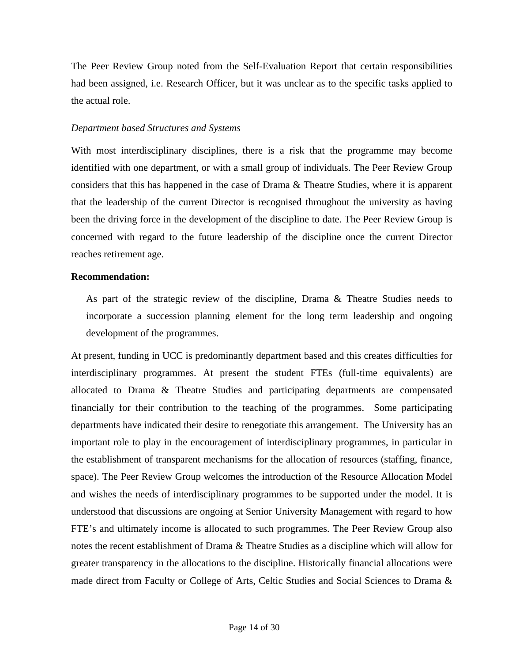The Peer Review Group noted from the Self-Evaluation Report that certain responsibilities had been assigned, i.e. Research Officer, but it was unclear as to the specific tasks applied to the actual role.

#### *Department based Structures and Systems*

With most interdisciplinary disciplines, there is a risk that the programme may become identified with one department, or with a small group of individuals. The Peer Review Group considers that this has happened in the case of Drama & Theatre Studies, where it is apparent that the leadership of the current Director is recognised throughout the university as having been the driving force in the development of the discipline to date. The Peer Review Group is concerned with regard to the future leadership of the discipline once the current Director reaches retirement age.

#### **Recommendation:**

As part of the strategic review of the discipline, Drama & Theatre Studies needs to incorporate a succession planning element for the long term leadership and ongoing development of the programmes.

At present, funding in UCC is predominantly department based and this creates difficulties for interdisciplinary programmes. At present the student FTEs (full-time equivalents) are allocated to Drama & Theatre Studies and participating departments are compensated financially for their contribution to the teaching of the programmes. Some participating departments have indicated their desire to renegotiate this arrangement. The University has an important role to play in the encouragement of interdisciplinary programmes, in particular in the establishment of transparent mechanisms for the allocation of resources (staffing, finance, space). The Peer Review Group welcomes the introduction of the Resource Allocation Model and wishes the needs of interdisciplinary programmes to be supported under the model. It is understood that discussions are ongoing at Senior University Management with regard to how FTE's and ultimately income is allocated to such programmes. The Peer Review Group also notes the recent establishment of Drama & Theatre Studies as a discipline which will allow for greater transparency in the allocations to the discipline. Historically financial allocations were made direct from Faculty or College of Arts, Celtic Studies and Social Sciences to Drama &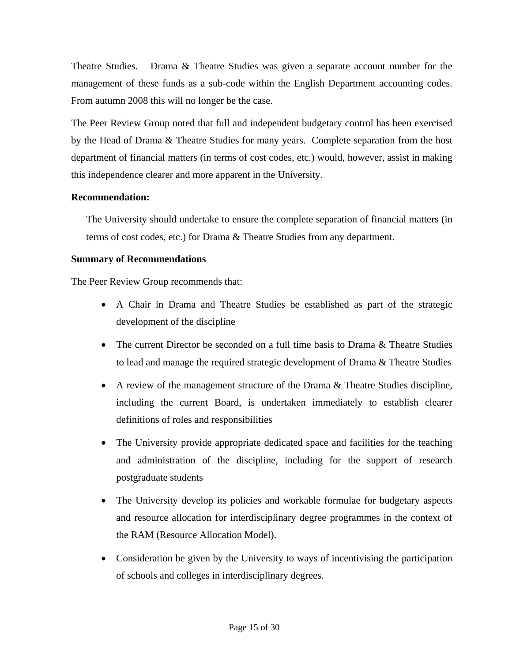<span id="page-14-0"></span>Theatre Studies. Drama & Theatre Studies was given a separate account number for the management of these funds as a sub-code within the English Department accounting codes. From autumn 2008 this will no longer be the case.

The Peer Review Group noted that full and independent budgetary control has been exercised by the Head of Drama & Theatre Studies for many years. Complete separation from the host department of financial matters (in terms of cost codes, etc.) would, however, assist in making this independence clearer and more apparent in the University.

#### **Recommendation:**

The University should undertake to ensure the complete separation of financial matters (in terms of cost codes, etc.) for Drama & Theatre Studies from any department.

## **Summary of Recommendations**

The Peer Review Group recommends that:

- A Chair in Drama and Theatre Studies be established as part of the strategic development of the discipline
- The current Director be seconded on a full time basis to Drama & Theatre Studies to lead and manage the required strategic development of Drama & Theatre Studies
- A review of the management structure of the Drama & Theatre Studies discipline, including the current Board, is undertaken immediately to establish clearer definitions of roles and responsibilities
- The University provide appropriate dedicated space and facilities for the teaching and administration of the discipline, including for the support of research postgraduate students
- The University develop its policies and workable formulae for budgetary aspects and resource allocation for interdisciplinary degree programmes in the context of the RAM (Resource Allocation Model).
- Consideration be given by the University to ways of incentivising the participation of schools and colleges in interdisciplinary degrees.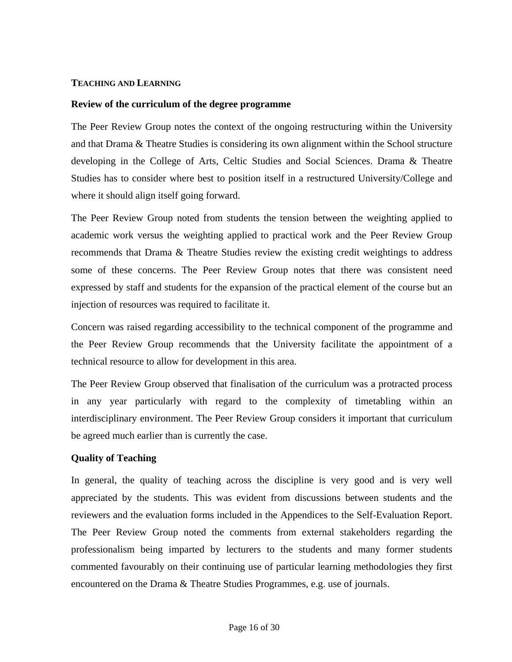#### <span id="page-15-0"></span>**TEACHING AND LEARNING**

#### **Review of the curriculum of the degree programme**

The Peer Review Group notes the context of the ongoing restructuring within the University and that Drama & Theatre Studies is considering its own alignment within the School structure developing in the College of Arts, Celtic Studies and Social Sciences. Drama & Theatre Studies has to consider where best to position itself in a restructured University/College and where it should align itself going forward.

The Peer Review Group noted from students the tension between the weighting applied to academic work versus the weighting applied to practical work and the Peer Review Group recommends that Drama & Theatre Studies review the existing credit weightings to address some of these concerns. The Peer Review Group notes that there was consistent need expressed by staff and students for the expansion of the practical element of the course but an injection of resources was required to facilitate it.

Concern was raised regarding accessibility to the technical component of the programme and the Peer Review Group recommends that the University facilitate the appointment of a technical resource to allow for development in this area.

The Peer Review Group observed that finalisation of the curriculum was a protracted process in any year particularly with regard to the complexity of timetabling within an interdisciplinary environment. The Peer Review Group considers it important that curriculum be agreed much earlier than is currently the case.

#### **Quality of Teaching**

In general, the quality of teaching across the discipline is very good and is very well appreciated by the students. This was evident from discussions between students and the reviewers and the evaluation forms included in the Appendices to the Self-Evaluation Report. The Peer Review Group noted the comments from external stakeholders regarding the professionalism being imparted by lecturers to the students and many former students commented favourably on their continuing use of particular learning methodologies they first encountered on the Drama & Theatre Studies Programmes, e.g. use of journals.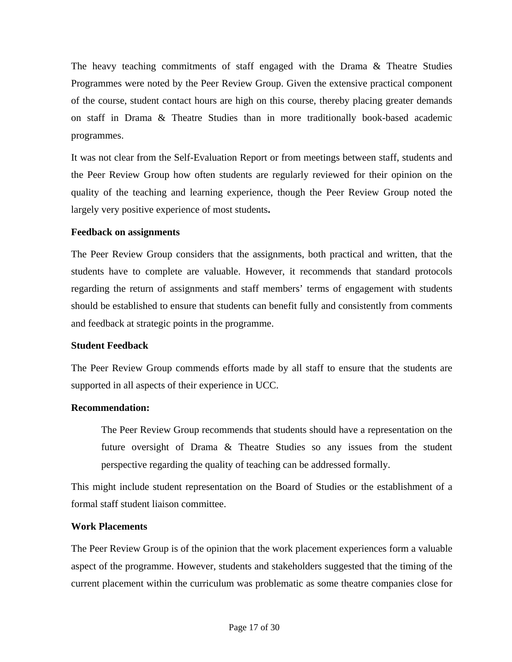<span id="page-16-0"></span>The heavy teaching commitments of staff engaged with the Drama & Theatre Studies Programmes were noted by the Peer Review Group. Given the extensive practical component of the course, student contact hours are high on this course, thereby placing greater demands on staff in Drama & Theatre Studies than in more traditionally book-based academic programmes.

It was not clear from the Self-Evaluation Report or from meetings between staff, students and the Peer Review Group how often students are regularly reviewed for their opinion on the quality of the teaching and learning experience, though the Peer Review Group noted the largely very positive experience of most students**.** 

#### **Feedback on assignments**

The Peer Review Group considers that the assignments, both practical and written, that the students have to complete are valuable. However, it recommends that standard protocols regarding the return of assignments and staff members' terms of engagement with students should be established to ensure that students can benefit fully and consistently from comments and feedback at strategic points in the programme.

#### **Student Feedback**

The Peer Review Group commends efforts made by all staff to ensure that the students are supported in all aspects of their experience in UCC.

#### **Recommendation:**

The Peer Review Group recommends that students should have a representation on the future oversight of Drama & Theatre Studies so any issues from the student perspective regarding the quality of teaching can be addressed formally.

This might include student representation on the Board of Studies or the establishment of a formal staff student liaison committee.

#### **Work Placements**

The Peer Review Group is of the opinion that the work placement experiences form a valuable aspect of the programme. However, students and stakeholders suggested that the timing of the current placement within the curriculum was problematic as some theatre companies close for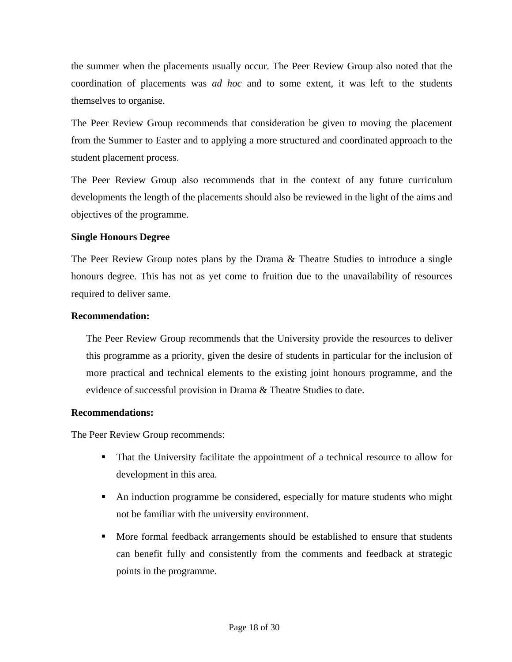the summer when the placements usually occur. The Peer Review Group also noted that the coordination of placements was *ad hoc* and to some extent, it was left to the students themselves to organise.

The Peer Review Group recommends that consideration be given to moving the placement from the Summer to Easter and to applying a more structured and coordinated approach to the student placement process.

The Peer Review Group also recommends that in the context of any future curriculum developments the length of the placements should also be reviewed in the light of the aims and objectives of the programme.

#### **Single Honours Degree**

The Peer Review Group notes plans by the Drama & Theatre Studies to introduce a single honours degree. This has not as yet come to fruition due to the unavailability of resources required to deliver same.

#### **Recommendation:**

The Peer Review Group recommends that the University provide the resources to deliver this programme as a priority, given the desire of students in particular for the inclusion of more practical and technical elements to the existing joint honours programme, and the evidence of successful provision in Drama & Theatre Studies to date.

#### **Recommendations:**

The Peer Review Group recommends:

- That the University facilitate the appointment of a technical resource to allow for development in this area.
- An induction programme be considered, especially for mature students who might not be familiar with the university environment.
- More formal feedback arrangements should be established to ensure that students can benefit fully and consistently from the comments and feedback at strategic points in the programme.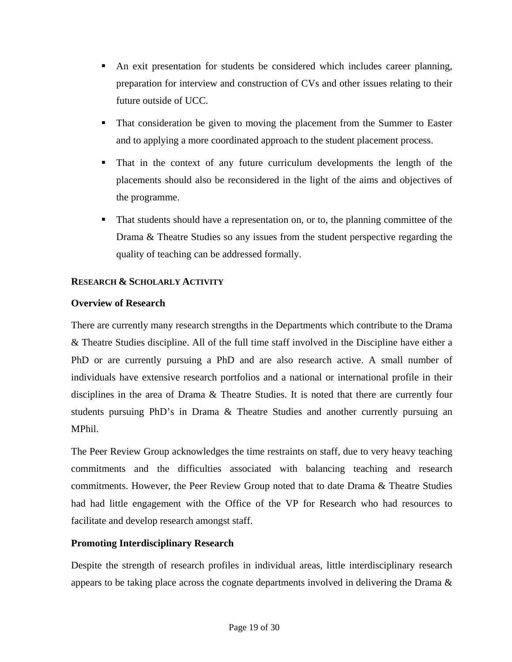- <span id="page-18-0"></span> An exit presentation for students be considered which includes career planning, preparation for interview and construction of CVs and other issues relating to their future outside of UCC.
- That consideration be given to moving the placement from the Summer to Easter and to applying a more coordinated approach to the student placement process.
- That in the context of any future curriculum developments the length of the placements should also be reconsidered in the light of the aims and objectives of the programme.
- That students should have a representation on, or to, the planning committee of the Drama & Theatre Studies so any issues from the student perspective regarding the quality of teaching can be addressed formally.

## **RESEARCH & SCHOLARLY ACTIVITY**

## **Overview of Research**

There are currently many research strengths in the Departments which contribute to the Drama & Theatre Studies discipline. All of the full time staff involved in the Discipline have either a PhD or are currently pursuing a PhD and are also research active. A small number of individuals have extensive research portfolios and a national or international profile in their disciplines in the area of Drama & Theatre Studies. It is noted that there are currently four students pursuing PhD's in Drama & Theatre Studies and another currently pursuing an MPhil.

The Peer Review Group acknowledges the time restraints on staff, due to very heavy teaching commitments and the difficulties associated with balancing teaching and research commitments. However, the Peer Review Group noted that to date Drama & Theatre Studies had had little engagement with the Office of the VP for Research who had resources to facilitate and develop research amongst staff.

## **Promoting Interdisciplinary Research**

Despite the strength of research profiles in individual areas, little interdisciplinary research appears to be taking place across the cognate departments involved in delivering the Drama  $\&$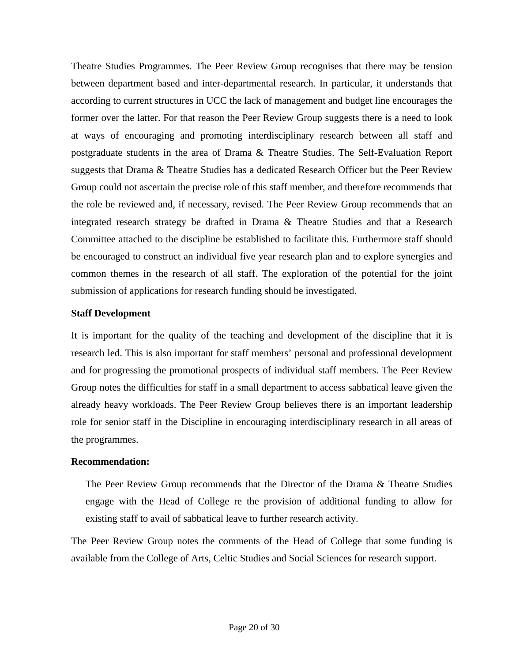<span id="page-19-0"></span>Theatre Studies Programmes. The Peer Review Group recognises that there may be tension between department based and inter-departmental research. In particular, it understands that according to current structures in UCC the lack of management and budget line encourages the former over the latter. For that reason the Peer Review Group suggests there is a need to look at ways of encouraging and promoting interdisciplinary research between all staff and postgraduate students in the area of Drama & Theatre Studies. The Self-Evaluation Report suggests that Drama & Theatre Studies has a dedicated Research Officer but the Peer Review Group could not ascertain the precise role of this staff member, and therefore recommends that the role be reviewed and, if necessary, revised. The Peer Review Group recommends that an integrated research strategy be drafted in Drama & Theatre Studies and that a Research Committee attached to the discipline be established to facilitate this. Furthermore staff should be encouraged to construct an individual five year research plan and to explore synergies and common themes in the research of all staff. The exploration of the potential for the joint submission of applications for research funding should be investigated.

#### **Staff Development**

It is important for the quality of the teaching and development of the discipline that it is research led. This is also important for staff members' personal and professional development and for progressing the promotional prospects of individual staff members. The Peer Review Group notes the difficulties for staff in a small department to access sabbatical leave given the already heavy workloads. The Peer Review Group believes there is an important leadership role for senior staff in the Discipline in encouraging interdisciplinary research in all areas of the programmes.

#### **Recommendation:**

The Peer Review Group recommends that the Director of the Drama & Theatre Studies engage with the Head of College re the provision of additional funding to allow for existing staff to avail of sabbatical leave to further research activity.

The Peer Review Group notes the comments of the Head of College that some funding is available from the College of Arts, Celtic Studies and Social Sciences for research support.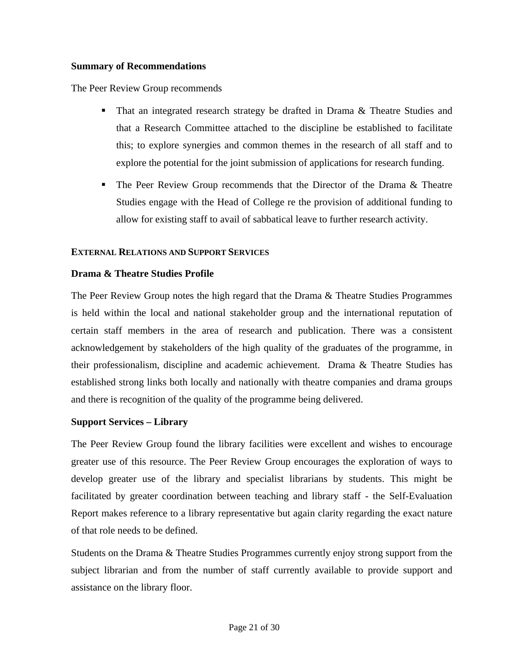#### <span id="page-20-0"></span>**Summary of Recommendations**

The Peer Review Group recommends

- That an integrated research strategy be drafted in Drama & Theatre Studies and that a Research Committee attached to the discipline be established to facilitate this; to explore synergies and common themes in the research of all staff and to explore the potential for the joint submission of applications for research funding.
- **The Peer Review Group recommends that the Director of the Drama**  $\&$  **Theatre** Studies engage with the Head of College re the provision of additional funding to allow for existing staff to avail of sabbatical leave to further research activity.

## **EXTERNAL RELATIONS AND SUPPORT SERVICES**

## **Drama & Theatre Studies Profile**

The Peer Review Group notes the high regard that the Drama & Theatre Studies Programmes is held within the local and national stakeholder group and the international reputation of certain staff members in the area of research and publication. There was a consistent acknowledgement by stakeholders of the high quality of the graduates of the programme, in their professionalism, discipline and academic achievement. Drama & Theatre Studies has established strong links both locally and nationally with theatre companies and drama groups and there is recognition of the quality of the programme being delivered.

#### **Support Services – Library**

The Peer Review Group found the library facilities were excellent and wishes to encourage greater use of this resource. The Peer Review Group encourages the exploration of ways to develop greater use of the library and specialist librarians by students. This might be facilitated by greater coordination between teaching and library staff - the Self-Evaluation Report makes reference to a library representative but again clarity regarding the exact nature of that role needs to be defined.

Students on the Drama & Theatre Studies Programmes currently enjoy strong support from the subject librarian and from the number of staff currently available to provide support and assistance on the library floor.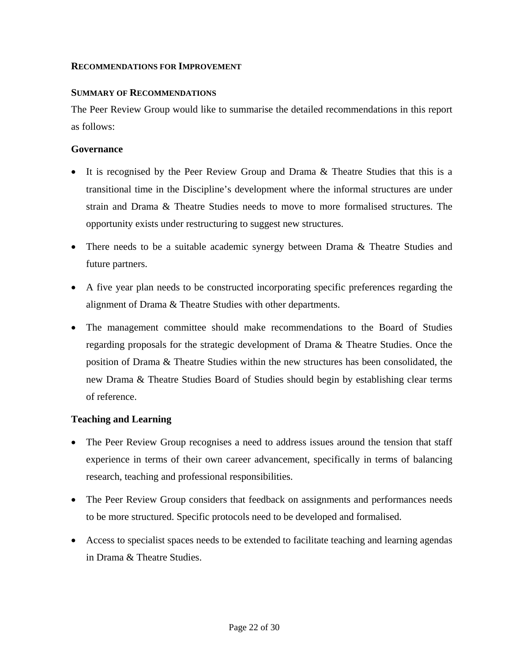#### <span id="page-21-0"></span>**RECOMMENDATIONS FOR IMPROVEMENT**

#### **SUMMARY OF RECOMMENDATIONS**

The Peer Review Group would like to summarise the detailed recommendations in this report as follows:

#### **Governance**

- It is recognised by the Peer Review Group and Drama & Theatre Studies that this is a transitional time in the Discipline's development where the informal structures are under strain and Drama & Theatre Studies needs to move to more formalised structures. The opportunity exists under restructuring to suggest new structures.
- There needs to be a suitable academic synergy between Drama & Theatre Studies and future partners.
- A five year plan needs to be constructed incorporating specific preferences regarding the alignment of Drama & Theatre Studies with other departments.
- The management committee should make recommendations to the Board of Studies regarding proposals for the strategic development of Drama & Theatre Studies. Once the position of Drama & Theatre Studies within the new structures has been consolidated, the new Drama & Theatre Studies Board of Studies should begin by establishing clear terms of reference.

#### **Teaching and Learning**

- The Peer Review Group recognises a need to address issues around the tension that staff experience in terms of their own career advancement, specifically in terms of balancing research, teaching and professional responsibilities.
- The Peer Review Group considers that feedback on assignments and performances needs to be more structured. Specific protocols need to be developed and formalised.
- Access to specialist spaces needs to be extended to facilitate teaching and learning agendas in Drama & Theatre Studies.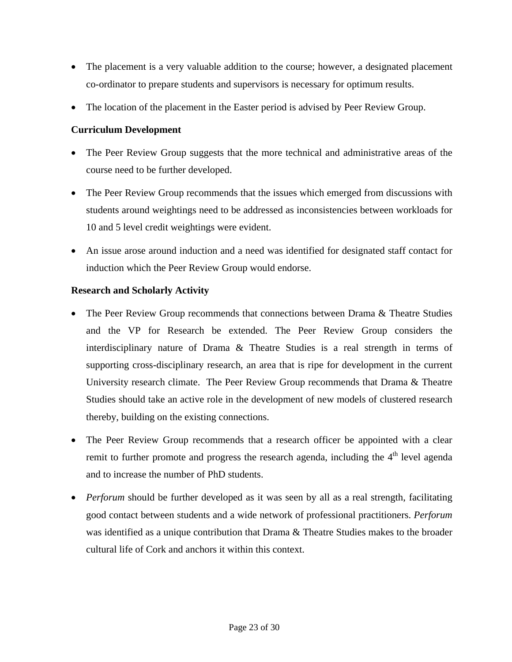- <span id="page-22-0"></span>• The placement is a very valuable addition to the course; however, a designated placement co-ordinator to prepare students and supervisors is necessary for optimum results.
- The location of the placement in the Easter period is advised by Peer Review Group.

## **Curriculum Development**

- The Peer Review Group suggests that the more technical and administrative areas of the course need to be further developed.
- The Peer Review Group recommends that the issues which emerged from discussions with students around weightings need to be addressed as inconsistencies between workloads for 10 and 5 level credit weightings were evident.
- An issue arose around induction and a need was identified for designated staff contact for induction which the Peer Review Group would endorse.

## **Research and Scholarly Activity**

- The Peer Review Group recommends that connections between Drama & Theatre Studies and the VP for Research be extended. The Peer Review Group considers the interdisciplinary nature of Drama & Theatre Studies is a real strength in terms of supporting cross-disciplinary research, an area that is ripe for development in the current University research climate. The Peer Review Group recommends that Drama & Theatre Studies should take an active role in the development of new models of clustered research thereby, building on the existing connections.
- The Peer Review Group recommends that a research officer be appointed with a clear remit to further promote and progress the research agenda, including the 4<sup>th</sup> level agenda and to increase the number of PhD students.
- *Perforum* should be further developed as it was seen by all as a real strength, facilitating good contact between students and a wide network of professional practitioners. *Perforum* was identified as a unique contribution that Drama & Theatre Studies makes to the broader cultural life of Cork and anchors it within this context.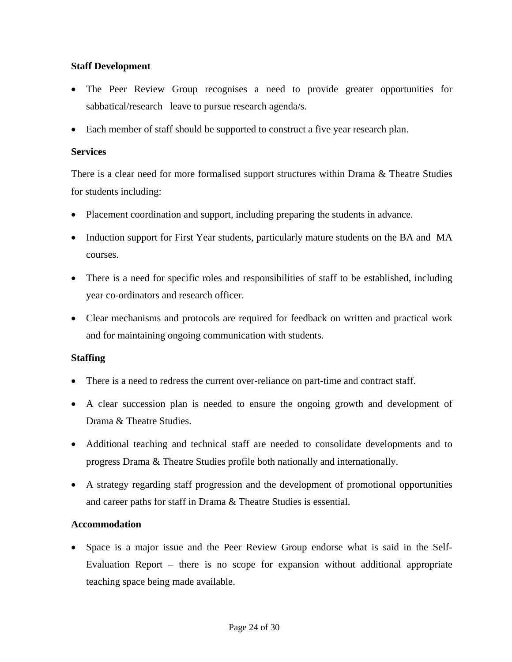## <span id="page-23-0"></span>**Staff Development**

- The Peer Review Group recognises a need to provide greater opportunities for sabbatical/research leave to pursue research agenda/s.
- Each member of staff should be supported to construct a five year research plan.

#### **Services**

There is a clear need for more formalised support structures within Drama & Theatre Studies for students including:

- Placement coordination and support, including preparing the students in advance.
- Induction support for First Year students, particularly mature students on the BA and MA courses.
- There is a need for specific roles and responsibilities of staff to be established, including year co-ordinators and research officer.
- Clear mechanisms and protocols are required for feedback on written and practical work and for maintaining ongoing communication with students.

## **Staffing**

- There is a need to redress the current over-reliance on part-time and contract staff.
- A clear succession plan is needed to ensure the ongoing growth and development of Drama & Theatre Studies.
- Additional teaching and technical staff are needed to consolidate developments and to progress Drama & Theatre Studies profile both nationally and internationally.
- A strategy regarding staff progression and the development of promotional opportunities and career paths for staff in Drama & Theatre Studies is essential.

## **Accommodation**

• Space is a major issue and the Peer Review Group endorse what is said in the Self-Evaluation Report – there is no scope for expansion without additional appropriate teaching space being made available.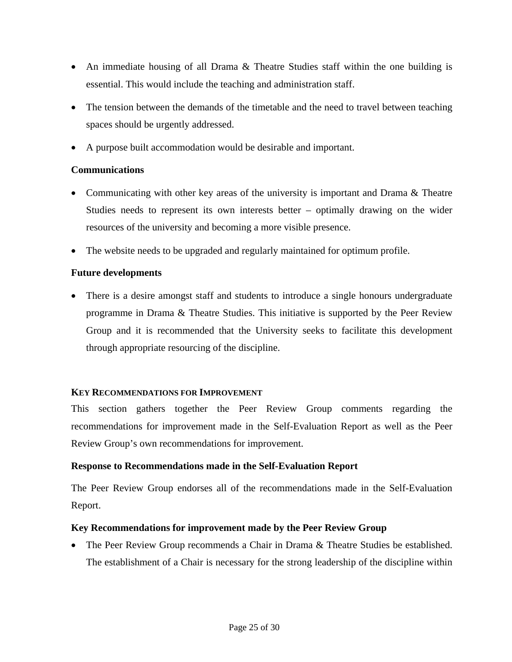- <span id="page-24-0"></span>• An immediate housing of all Drama & Theatre Studies staff within the one building is essential. This would include the teaching and administration staff.
- The tension between the demands of the timetable and the need to travel between teaching spaces should be urgently addressed.
- A purpose built accommodation would be desirable and important.

## **Communications**

- Communicating with other key areas of the university is important and Drama & Theatre Studies needs to represent its own interests better – optimally drawing on the wider resources of the university and becoming a more visible presence.
- The website needs to be upgraded and regularly maintained for optimum profile.

## **Future developments**

• There is a desire amongst staff and students to introduce a single honours undergraduate programme in Drama & Theatre Studies. This initiative is supported by the Peer Review Group and it is recommended that the University seeks to facilitate this development through appropriate resourcing of the discipline.

#### **KEY RECOMMENDATIONS FOR IMPROVEMENT**

This section gathers together the Peer Review Group comments regarding the recommendations for improvement made in the Self-Evaluation Report as well as the Peer Review Group's own recommendations for improvement.

## **Response to Recommendations made in the Self-Evaluation Report**

The Peer Review Group endorses all of the recommendations made in the Self-Evaluation Report.

#### **Key Recommendations for improvement made by the Peer Review Group**

• The Peer Review Group recommends a Chair in Drama & Theatre Studies be established. The establishment of a Chair is necessary for the strong leadership of the discipline within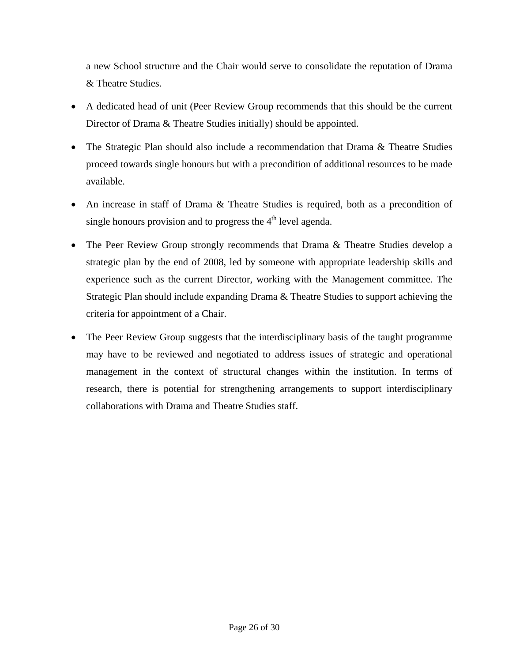a new School structure and the Chair would serve to consolidate the reputation of Drama & Theatre Studies.

- A dedicated head of unit (Peer Review Group recommends that this should be the current Director of Drama & Theatre Studies initially) should be appointed.
- The Strategic Plan should also include a recommendation that Drama & Theatre Studies proceed towards single honours but with a precondition of additional resources to be made available.
- An increase in staff of Drama & Theatre Studies is required, both as a precondition of single honours provision and to progress the  $4<sup>th</sup>$  level agenda.
- The Peer Review Group strongly recommends that Drama & Theatre Studies develop a strategic plan by the end of 2008, led by someone with appropriate leadership skills and experience such as the current Director, working with the Management committee. The Strategic Plan should include expanding Drama & Theatre Studies to support achieving the criteria for appointment of a Chair.
- The Peer Review Group suggests that the interdisciplinary basis of the taught programme may have to be reviewed and negotiated to address issues of strategic and operational management in the context of structural changes within the institution. In terms of research, there is potential for strengthening arrangements to support interdisciplinary collaborations with Drama and Theatre Studies staff.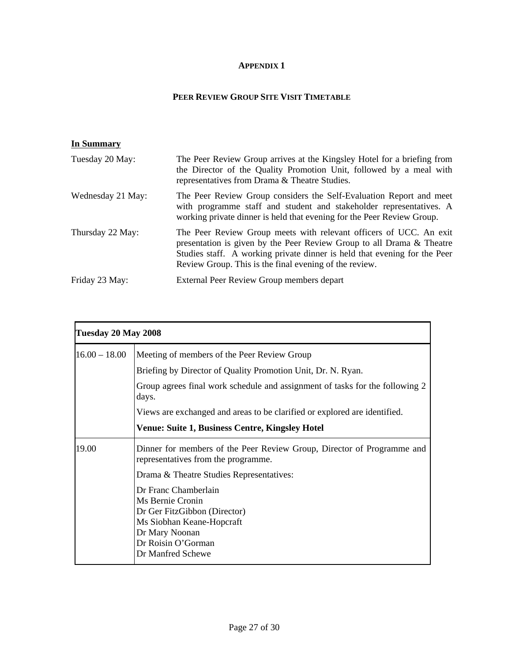#### **APPENDIX 1**

#### **PEER REVIEW GROUP SITE VISIT TIMETABLE**

## <span id="page-26-0"></span>**In Summary**

| Tuesday 20 May:   | The Peer Review Group arrives at the Kingsley Hotel for a briefing from<br>the Director of the Quality Promotion Unit, followed by a meal with<br>representatives from Drama & Theatre Studies.                                                                                    |
|-------------------|------------------------------------------------------------------------------------------------------------------------------------------------------------------------------------------------------------------------------------------------------------------------------------|
| Wednesday 21 May: | The Peer Review Group considers the Self-Evaluation Report and meet<br>with programme staff and student and stakeholder representatives. A<br>working private dinner is held that evening for the Peer Review Group.                                                               |
| Thursday 22 May:  | The Peer Review Group meets with relevant officers of UCC. An exit<br>presentation is given by the Peer Review Group to all Drama & Theatre<br>Studies staff. A working private dinner is held that evening for the Peer<br>Review Group. This is the final evening of the review. |
| Friday 23 May:    | External Peer Review Group members depart                                                                                                                                                                                                                                          |

| Tuesday 20 May 2008 |                                                                                                                                                                    |  |
|---------------------|--------------------------------------------------------------------------------------------------------------------------------------------------------------------|--|
| $16.00 - 18.00$     | Meeting of members of the Peer Review Group                                                                                                                        |  |
|                     | Briefing by Director of Quality Promotion Unit, Dr. N. Ryan.                                                                                                       |  |
|                     | Group agrees final work schedule and assignment of tasks for the following 2<br>days.                                                                              |  |
|                     | Views are exchanged and areas to be clarified or explored are identified.                                                                                          |  |
|                     | <b>Venue: Suite 1, Business Centre, Kingsley Hotel</b>                                                                                                             |  |
| 19.00               | Dinner for members of the Peer Review Group, Director of Programme and<br>representatives from the programme.                                                      |  |
|                     | Drama & Theatre Studies Representatives:                                                                                                                           |  |
|                     | Dr Franc Chamberlain<br>Ms Bernie Cronin<br>Dr Ger FitzGibbon (Director)<br>Ms Siobhan Keane-Hopcraft<br>Dr Mary Noonan<br>Dr Roisin O'Gorman<br>Dr Manfred Schewe |  |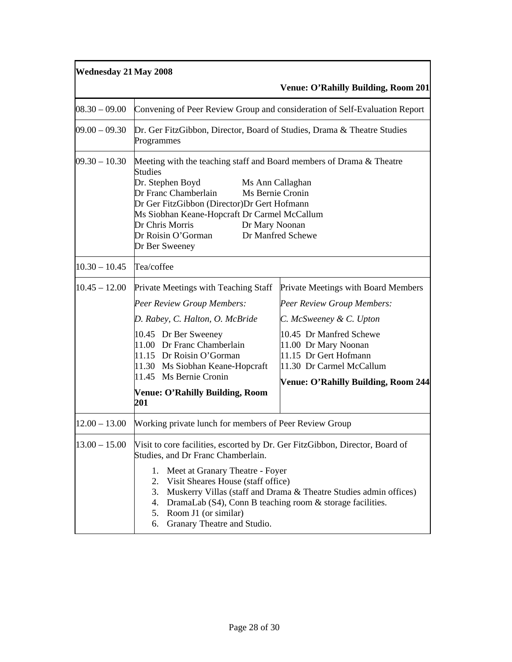| <b>Wednesday 21 May 2008</b> |                                                                                                                                                                                                                                                                                                                                                                                                                          |                                                                                                                                                                                                                                                    |
|------------------------------|--------------------------------------------------------------------------------------------------------------------------------------------------------------------------------------------------------------------------------------------------------------------------------------------------------------------------------------------------------------------------------------------------------------------------|----------------------------------------------------------------------------------------------------------------------------------------------------------------------------------------------------------------------------------------------------|
|                              |                                                                                                                                                                                                                                                                                                                                                                                                                          | <b>Venue: O'Rahilly Building, Room 201</b>                                                                                                                                                                                                         |
| $08.30 - 09.00$              |                                                                                                                                                                                                                                                                                                                                                                                                                          | Convening of Peer Review Group and consideration of Self-Evaluation Report                                                                                                                                                                         |
| $09.00 - 09.30$              | Dr. Ger FitzGibbon, Director, Board of Studies, Drama & Theatre Studies<br>Programmes                                                                                                                                                                                                                                                                                                                                    |                                                                                                                                                                                                                                                    |
| $09.30 - 10.30$              | Meeting with the teaching staff and Board members of Drama & Theatre<br><b>Studies</b><br>Dr. Stephen Boyd<br>Ms Ann Callaghan<br>Dr Franc Chamberlain<br>Ms Bernie Cronin<br>Dr Ger FitzGibbon (Director)Dr Gert Hofmann<br>Ms Siobhan Keane-Hopcraft Dr Carmel McCallum<br>Dr Chris Morris<br>Dr Mary Noonan<br>Dr Roisin O'Gorman<br>Dr Manfred Schewe<br>Dr Ber Sweeney                                              |                                                                                                                                                                                                                                                    |
| $10.30 - 10.45$              | Tea/coffee                                                                                                                                                                                                                                                                                                                                                                                                               |                                                                                                                                                                                                                                                    |
| $10.45 - 12.00$              | Private Meetings with Teaching Staff<br><b>Peer Review Group Members:</b><br>D. Rabey, C. Halton, O. McBride<br>10.45 Dr Ber Sweeney<br>11.00 Dr Franc Chamberlain<br>11.15 Dr Roisin O'Gorman<br>11.30 Ms Siobhan Keane-Hopcraft<br>11.45 Ms Bernie Cronin<br><b>Venue: O'Rahilly Building, Room</b><br>201                                                                                                             | Private Meetings with Board Members<br>Peer Review Group Members:<br>C. McSweeney & C. Upton<br>10.45 Dr Manfred Schewe<br>11.00 Dr Mary Noonan<br>11.15 Dr Gert Hofmann<br>11.30 Dr Carmel McCallum<br><b>Venue: O'Rahilly Building, Room 244</b> |
| $12.00 - 13.00$              | Working private lunch for members of Peer Review Group                                                                                                                                                                                                                                                                                                                                                                   |                                                                                                                                                                                                                                                    |
| $13.00 - 15.00$              | Visit to core facilities, escorted by Dr. Ger FitzGibbon, Director, Board of<br>Studies, and Dr Franc Chamberlain.<br>Meet at Granary Theatre - Foyer<br>1.<br>2.<br>Visit Sheares House (staff office)<br>3.<br>Muskerry Villas (staff and Drama & Theatre Studies admin offices)<br>DramaLab (S4), Conn B teaching room & storage facilities.<br>4.<br>Room J1 (or similar)<br>5.<br>Granary Theatre and Studio.<br>6. |                                                                                                                                                                                                                                                    |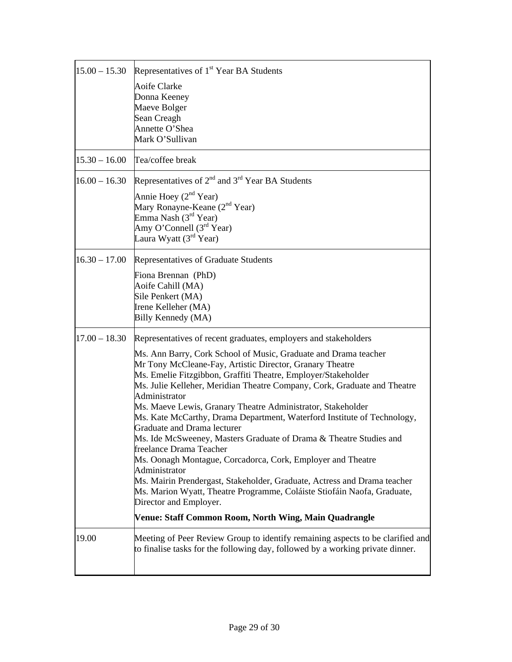| $15.00 - 15.30$ | Representatives of 1 <sup>st</sup> Year BA Students                                               |
|-----------------|---------------------------------------------------------------------------------------------------|
|                 |                                                                                                   |
|                 | Aoife Clarke                                                                                      |
|                 | Donna Keeney                                                                                      |
|                 | Maeve Bolger                                                                                      |
|                 | Sean Creagh<br>Annette O'Shea                                                                     |
|                 | Mark O'Sullivan                                                                                   |
|                 |                                                                                                   |
| $15.30 - 16.00$ | Tea/coffee break                                                                                  |
| $16.00 - 16.30$ | Representatives of 2 <sup>nd</sup> and 3 <sup>rd</sup> Year BA Students                           |
|                 | Annie Hoey $(2^{nd}$ Year)                                                                        |
|                 | Mary Ronayne-Keane (2 <sup>nd</sup> Year)                                                         |
|                 | Emma Nash $(3^{rd}$ Year)                                                                         |
|                 | Amy O'Connell $(3rd Year)$                                                                        |
|                 | Laura Wyatt $(3rd$ Year)                                                                          |
| $16.30 - 17.00$ | Representatives of Graduate Students                                                              |
|                 | Fiona Brennan (PhD)                                                                               |
|                 | Aoife Cahill (MA)                                                                                 |
|                 | Sile Penkert (MA)                                                                                 |
|                 | Irene Kelleher (MA)                                                                               |
|                 | Billy Kennedy (MA)                                                                                |
| $17.00 - 18.30$ | Representatives of recent graduates, employers and stakeholders                                   |
|                 | Ms. Ann Barry, Cork School of Music, Graduate and Drama teacher                                   |
|                 | Mr Tony McCleane-Fay, Artistic Director, Granary Theatre                                          |
|                 | Ms. Emelie Fitzgibbon, Graffiti Theatre, Employer/Stakeholder                                     |
|                 | Ms. Julie Kelleher, Meridian Theatre Company, Cork, Graduate and Theatre                          |
|                 | Administrator                                                                                     |
|                 | Ms. Maeve Lewis, Granary Theatre Administrator, Stakeholder                                       |
|                 | Ms. Kate McCarthy, Drama Department, Waterford Institute of Technology,                           |
|                 | Graduate and Drama lecturer<br>Ms. Ide McSweeney, Masters Graduate of Drama & Theatre Studies and |
|                 | freelance Drama Teacher                                                                           |
|                 | Ms. Oonagh Montague, Corcadorca, Cork, Employer and Theatre                                       |
|                 | Administrator                                                                                     |
|                 | Ms. Mairin Prendergast, Stakeholder, Graduate, Actress and Drama teacher                          |
|                 | Ms. Marion Wyatt, Theatre Programme, Coláiste Stiofáin Naofa, Graduate,                           |
|                 | Director and Employer.                                                                            |
|                 | Venue: Staff Common Room, North Wing, Main Quadrangle                                             |
| 19.00           | Meeting of Peer Review Group to identify remaining aspects to be clarified and                    |
|                 | to finalise tasks for the following day, followed by a working private dinner.                    |
|                 |                                                                                                   |
|                 |                                                                                                   |